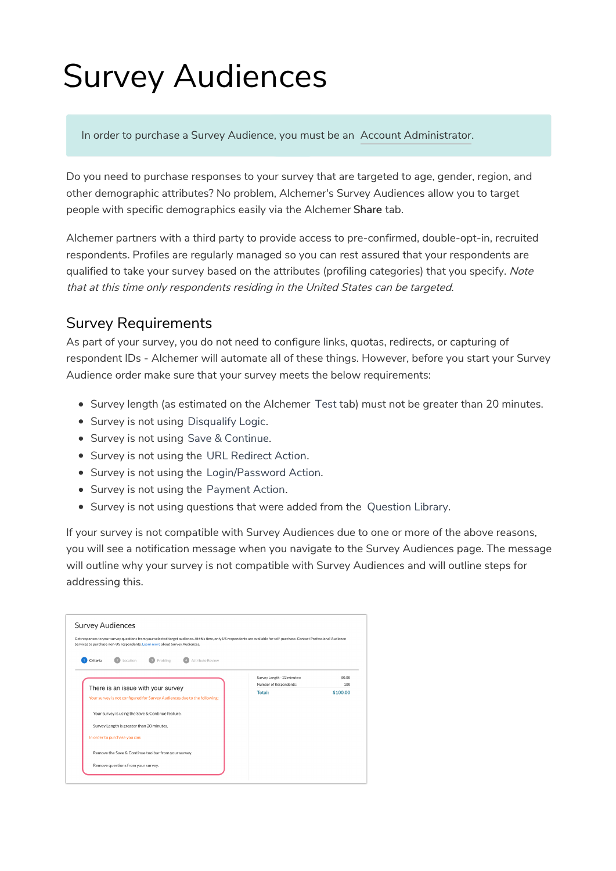# Survey Audiences

In order to purchase a Survey Audience, you must be an Account Administrator.

Do you need to purchase responses to your survey that are targeted to age, gender, region, and other demographic attributes? No problem, Alchemer's Survey Audiences allow you to target people with specific demographics easily via the Alchemer Share tab.

Alchemer partners with a third party to provide access to pre-confirmed, double-opt-in, recruited respondents. Profiles are regularly managed so you can rest assured that your respondents are qualified to take your survey based on the attributes (profiling categories) that you specify. Note that at this time only respondents residing in the United States can be targeted.

## Survey Requirements

As part of your survey, you do not need to configure links, quotas, redirects, or capturing of respondent IDs - Alchemer will automate all of these things. However, before you start your Survey Audience order make sure that your survey meets the below requirements:

- Survey length (as estimated on the Alchemer Test tab) must not be greater than 20 minutes.
- Survey is not using Disqualify Logic.
- Survey is not using Save & Continue.
- Survey is not using the URL Redirect Action.
- Survey is not using the Login/Password Action.
- Survey is not using the Payment Action.
- Survey is not using questions that were added from the Question Library.

If your survey is not compatible with Survey Audiences due to one or more of the above reasons, you will see a notification message when you navigate to the Survey Audiences page. The message will outline why your survey is not compatible with Survey Audiences and will outline steps for addressing this.

| Services to purchase non-US respondents. Learn more about Survey Audiences. |                             |          |
|-----------------------------------------------------------------------------|-----------------------------|----------|
|                                                                             |                             |          |
| Attribute Review<br>Location<br>Profiling<br>Criteria                       |                             |          |
|                                                                             |                             |          |
|                                                                             | Survey Length - 22 minutes: | \$0.00   |
| There is an issue with your survey                                          | Number of Respondents:      | 100      |
| Your survey is not configured for Survey Audiences due to the following:    | Total:                      | \$100,00 |
|                                                                             |                             |          |
| Your survey is using the Save & Continue feature.                           |                             |          |
| Survey Length is greater than 20 minutes.                                   |                             |          |
| In order to purchase you can:                                               |                             |          |
|                                                                             |                             |          |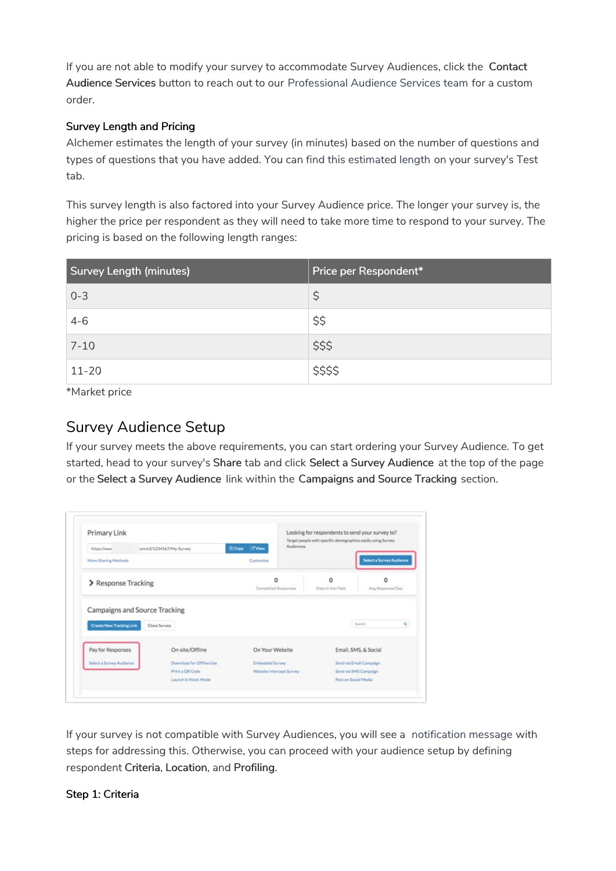If you are not able to modify your survey to accommodate Survey Audiences, click the Contact Audience Services button to reach out to our Professional Audience Services team for a custom order.

#### Survey Length and Pricing

Alchemer estimates the length of your survey (in minutes) based on the number of questions and types of questions that you have added. You can find this estimated length on your survey's Test tab.

This survey length is also factored into your Survey Audience price. The longer your survey is, the higher the price per respondent as they will need to take more time to respond to your survey. The pricing is based on the following length ranges:

| <b>Survey Length (minutes)</b> | Price per Respondent* |
|--------------------------------|-----------------------|
| $0 - 3$                        | \$                    |
| $4 - 6$                        | \$\$                  |
| $7 - 10$                       | \$\$\$                |
| $11 - 20$                      | \$\$\$\$              |

\*Market price

### Survey Audience Setup

If your survey meets the above requirements, you can start ordering your Survey Audience. To get started, head to your survey's Share tab and click Select a Survey Audience at the top of the page or the Select a Survey Audience link within the Campaigns and Source Tracking section.

| Primary Link                    |                          |                                            | Looking for respondents to send your survey to?<br>Target people with specific demographics easily using Survey |                                 |
|---------------------------------|--------------------------|--------------------------------------------|-----------------------------------------------------------------------------------------------------------------|---------------------------------|
| https://www                     | :om/s3/1234567/My-Survey | Audiences.<br><b>Copy</b><br><b>C'View</b> |                                                                                                                 |                                 |
| More Sharing Methods            |                          | Customize                                  |                                                                                                                 | <b>Select a Survey Audience</b> |
| > Response Tracking             |                          | o<br>Completed Responses                   | o<br>Days in the Field                                                                                          | $\Omega$<br>Avg Response/Day    |
|                                 |                          |                                            |                                                                                                                 |                                 |
|                                 |                          |                                            |                                                                                                                 |                                 |
| Campaigns and Source Tracking   |                          |                                            |                                                                                                                 |                                 |
| <b>Create New Tracking Link</b> | Close Survey             |                                            |                                                                                                                 | Search<br>$\alpha$              |
| Pay for Responses               | On-site/Offline          | On Your Website                            |                                                                                                                 | Email, SMS, & Social            |
| Select a Survey Audience        | Download for Offline Use | Embedded Survey                            |                                                                                                                 | Send via Email Campaign         |
|                                 | Print a QR Code          | Website Intercept Survey                   |                                                                                                                 | Send via SMS Campaign           |

If your survey is not compatible with Survey Audiences, you will see a notification message with steps for addressing this. Otherwise, you can proceed with your audience setup by defining respondent Criteria, Location, and Profiling.

#### Step 1: Criteria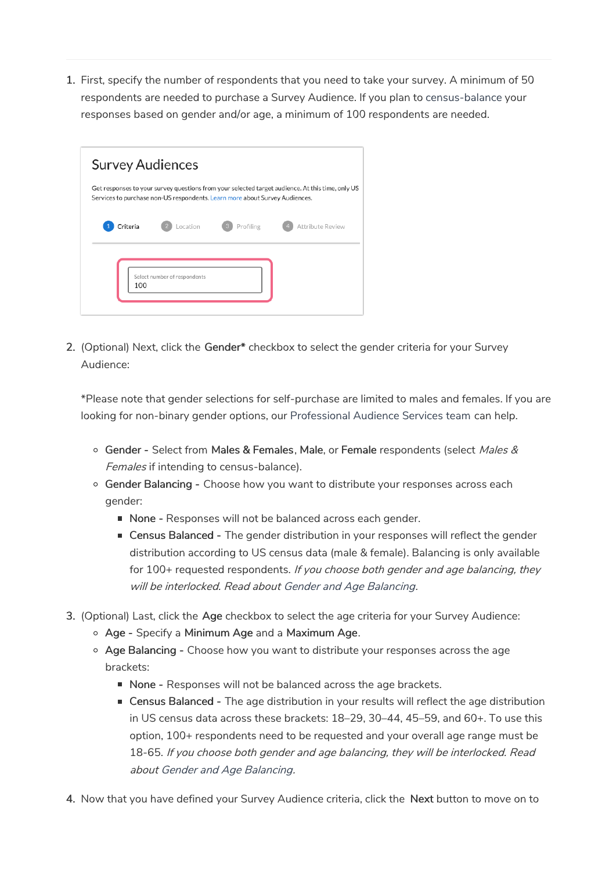1. First, specify the number of respondents that you need to take your survey. A minimum of 50 respondents are needed to purchase a Survey Audience. If you plan to census-balance your responses based on gender and/or age, a minimum of 100 respondents are needed.

|          | <b>Survey Audiences</b>                                                     |           |                                                                                                  |
|----------|-----------------------------------------------------------------------------|-----------|--------------------------------------------------------------------------------------------------|
|          | Services to purchase non-US respondents. Learn more about Survey Audiences. |           | Get responses to your survey questions from your selected target audience. At this time, only US |
| Criteria | Location                                                                    | Profiling | Attribute Review                                                                                 |
|          |                                                                             |           |                                                                                                  |
|          |                                                                             |           |                                                                                                  |
| 100      | Select number of respondents                                                |           |                                                                                                  |
|          |                                                                             |           |                                                                                                  |

2. (Optional) Next, click the Gender\* checkbox to select the gender criteria for your Survey Audience:

\*Please note that gender selections for self-purchase are limited to males and females. If you are looking for non-binary gender options, our Professional Audience Services team can help.

- Gender Select from Males & Females, Male, or Female respondents (select Males & Females if intending to census-balance).
- o Gender Balancing Choose how you want to distribute your responses across each gender:
	- None Responses will not be balanced across each gender.
	- Census Balanced The gender distribution in your responses will reflect the gender distribution according to US census data (male & female). Balancing is only available for 100+ requested respondents. If you choose both gender and age balancing, they will be interlocked. Read about Gender and Age Balancing.
- 3. (Optional) Last, click the Age checkbox to select the age criteria for your Survey Audience:
	- Age Specify a Minimum Age and a Maximum Age.
	- Age Balancing Choose how you want to distribute your responses across the age brackets:
		- None Responses will not be balanced across the age brackets.
		- **Census Balanced The age distribution in your results will reflect the age distribution** in US census data across these brackets: 18–29, 30–44, 45–59, and 60+. To use this option, 100+ respondents need to be requested and your overall age range must be 18-65. If you choose both gender and age balancing, they will be interlocked. Read about Gender and Age Balancing.
- 4. Now that you have defined your Survey Audience criteria, click the Next button to move on to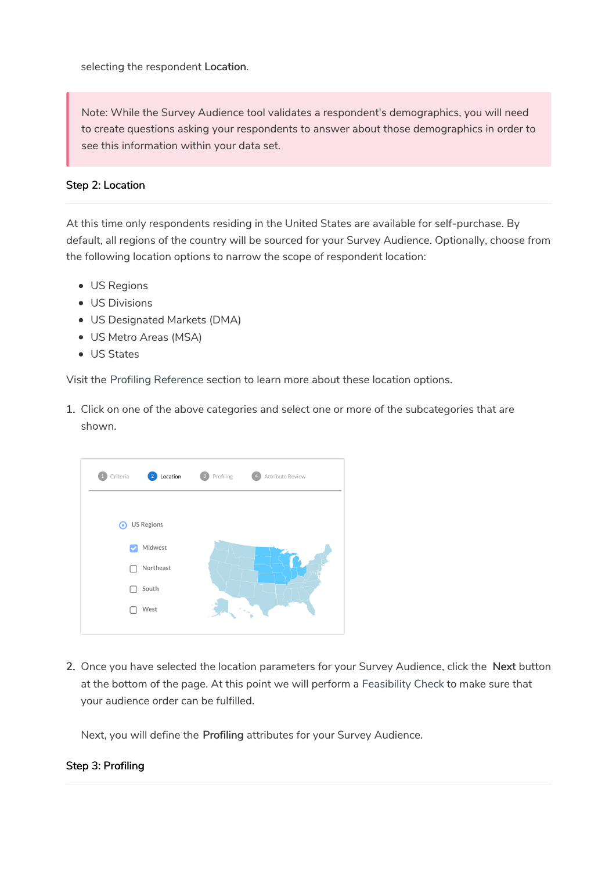selecting the respondent Location.

Note: While the Survey Audience tool validates a respondent's demographics, you will need to create questions asking your respondents to answer about those demographics in order to see this information within your data set.

#### Step 2: Location

At this time only respondents residing in the United States are available for self-purchase. By default, all regions of the country will be sourced for your Survey Audience. Optionally, choose from the following location options to narrow the scope of respondent location:

- US Regions
- US Divisions
- US Designated Markets (DMA)
- US Metro Areas (MSA)
- US States

Visit the Profiling Reference section to learn more about these location options.

1. Click on one of the above categories and select one or more of the subcategories that are shown.



2. Once you have selected the location parameters for your Survey Audience, click the Next button at the bottom of the page. At this point we will perform a Feasibility Check to make sure that your audience order can be fulfilled.

Next, you will define the Profiling attributes for your Survey Audience.

#### Step 3: Profiling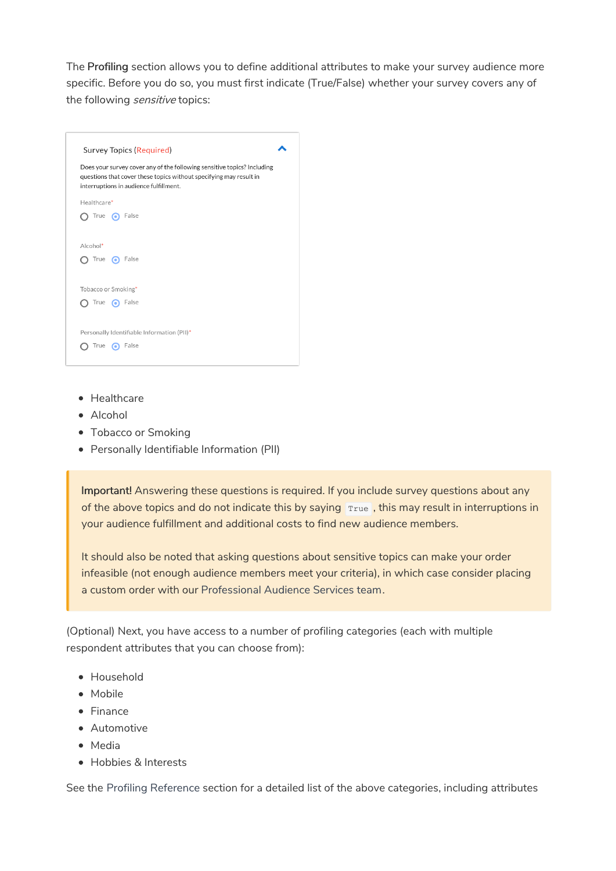The Profiling section allows you to define additional attributes to make your survey audience more specific. Before you do so, you must first indicate (True/False) whether your survey covers any of the following *sensitive* topics:



- Healthcare
- Alcohol
- Tobacco or Smoking
- Personally Identifiable Information (PII)

Important! Answering these questions is required. If you include survey questions about any of the above topics and do not indicate this by saying True, this may result in interruptions in your audience fulfillment and additional costs to find new audience members.

It should also be noted that asking questions about sensitive topics can make your order infeasible (not enough audience members meet your criteria), in which case consider placing a custom order with our Professional Audience Services team.

(Optional) Next, you have access to a number of profiling categories (each with multiple respondent attributes that you can choose from):

- Household
- Mobile
- Finance
- Automotive
- Media
- Hobbies & Interests

See the Profiling Reference section for a detailed list of the above categories, including attributes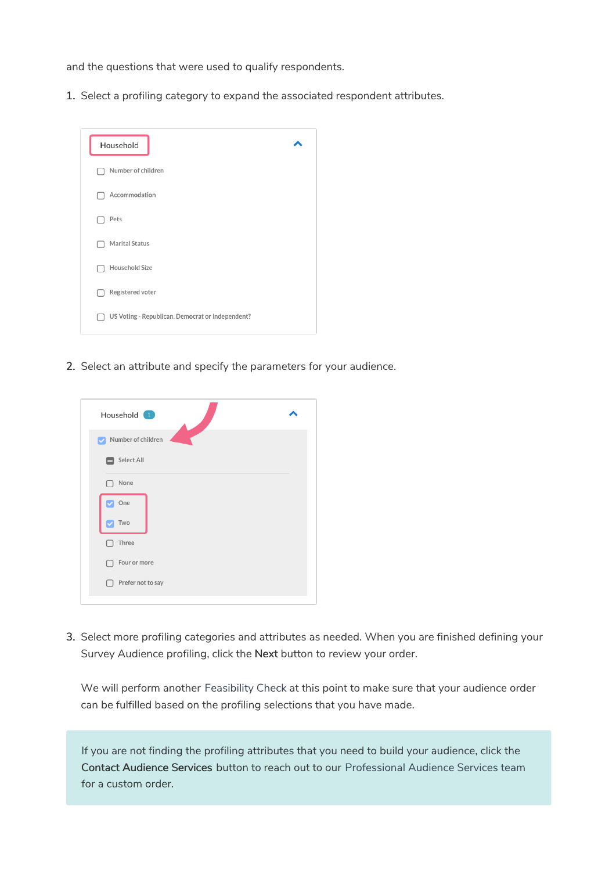and the questions that were used to qualify respondents.

1. Select a profiling category to expand the associated respondent attributes.



2. Select an attribute and specify the parameters for your audience.



3. Select more profiling categories and attributes as needed. When you are finished defining your Survey Audience profiling, click the Next button to review your order.

We will perform another Feasibility Check at this point to make sure that your audience order can be fulfilled based on the profiling selections that you have made.

If you are not finding the profiling attributes that you need to build your audience, click the Contact Audience Services button to reach out to our Professional Audience Services team for a custom order.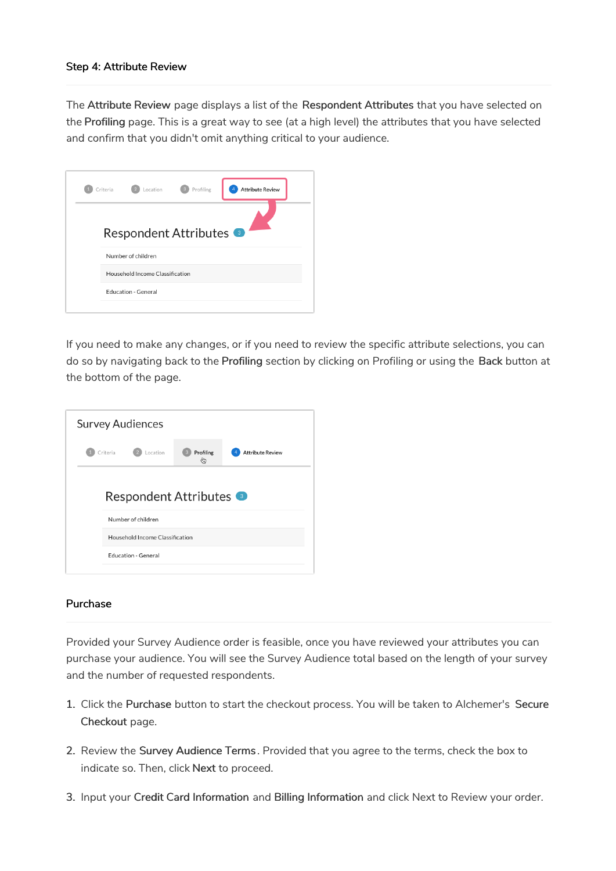#### Step 4: Attribute Review

The Attribute Review page displays a list of the Respondent Attributes that you have selected on the Profiling page. This is a great way to see (at a high level) the attributes that you have selected and confirm that you didn't omit anything critical to your audience.



If you need to make any changes, or if you need to review the specific attribute selections, you can do so by navigating back to the Profiling section by clicking on Profiling or using the Back button at the bottom of the page.



#### Purchase

Provided your Survey Audience order is feasible, once you have reviewed your attributes you can purchase your audience. You will see the Survey Audience total based on the length of your survey and the number of requested respondents.

- 1. Click the Purchase button to start the checkout process. You will be taken to Alchemer's Secure Checkout page.
- 2. Review the Survey Audience Terms . Provided that you agree to the terms, check the box to indicate so. Then, click Next to proceed.
- 3. Input your Credit Card Information and Billing Information and click Next to Review your order.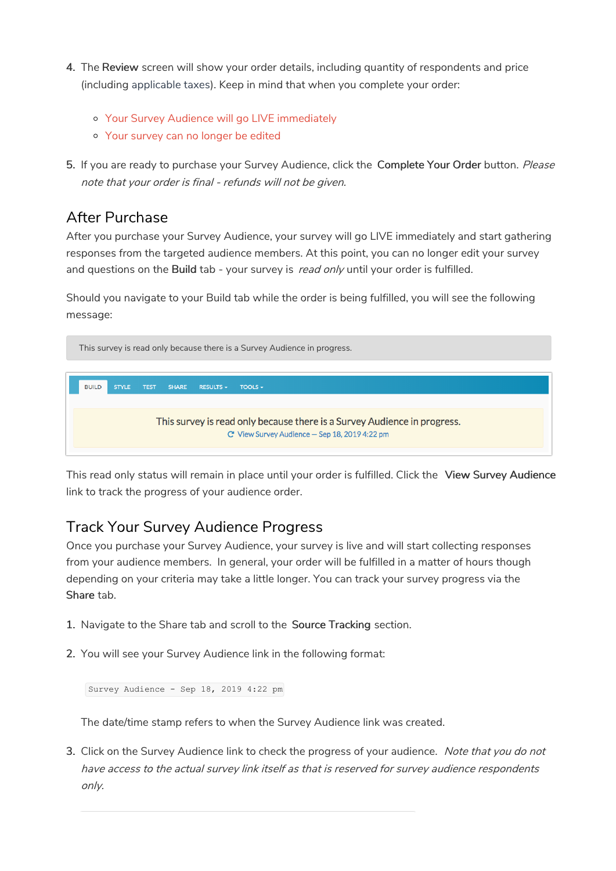- 4. The Review screen will show your order details, including quantity of respondents and price (including applicable taxes). Keep in mind that when you complete your order:
	- Your Survey Audience will go LIVE immediately
	- Your survey can no longer be edited
- 5. If you are ready to purchase your Survey Audience, click the Complete Your Order button. Please note that your order is final - refunds will not be given.

## After Purchase

After you purchase your Survey Audience, your survey will go LIVE immediately and start gathering responses from the targeted audience members. At this point, you can no longer edit your survey and questions on the Build tab - your survey is read only until your order is fulfilled.

Should you navigate to your Build tab while the order is being fulfilled, you will see the following message:



This read only status will remain in place until your order is fulfilled. Click the View Survey Audience link to track the progress of your audience order.

## Track Your Survey Audience Progress

Once you purchase your Survey Audience, your survey is live and will start collecting responses from your audience members. In general, your order will be fulfilled in a matter of hours though depending on your criteria may take a little longer. You can track your survey progress via the Share tab.

- 1. Navigate to the Share tab and scroll to the Source Tracking section.
- 2. You will see your Survey Audience link in the following format:

Survey Audience - Sep 18, 2019 4:22 pm

The date/time stamp refers to when the Survey Audience link was created.

3. Click on the Survey Audience link to check the progress of your audience. Note that you do not have access to the actual survey link itself as that is reserved for survey audience respondents only.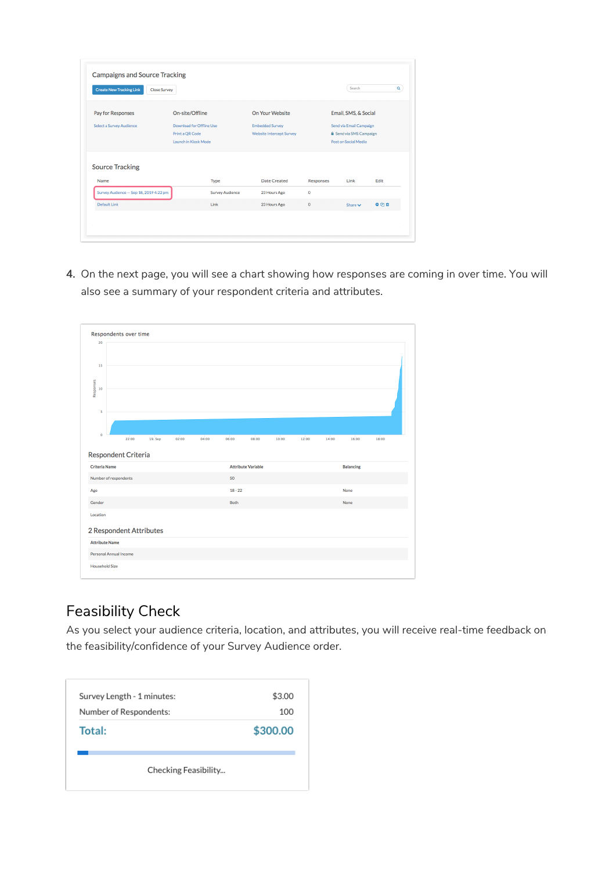| <b>Create New Tracking Link</b>        | <b>Close Survey</b>      |                        |                                 |                  | Search                         | Q    |  |
|----------------------------------------|--------------------------|------------------------|---------------------------------|------------------|--------------------------------|------|--|
| Pay for Responses                      | On-site/Offline          |                        | On Your Website                 |                  | Email, SMS, & Social           |      |  |
| <b>Select a Survey Audience</b>        | Download for Offline Use |                        | <b>Embedded Survey</b>          |                  | Send via Email Campaign        |      |  |
|                                        | Print a QR Code          |                        | <b>Website Intercept Survey</b> |                  | <b>A</b> Send via SMS Campaign |      |  |
|                                        | Launch in Kiosk Mode     |                        |                                 |                  | Post on Social Media           |      |  |
| <b>Source Tracking</b><br>Name         |                          | Type                   | Date Created                    | <b>Responses</b> | Link                           | Edit |  |
| Survey Audience - Sep 18, 2019 4:22 pm |                          | <b>Survey Audience</b> | 23 Hours Ago                    | $\circ$          |                                |      |  |
|                                        |                          | Link                   | 23 Hours Ago                    | $\mathbf 0$      | Share $\vee$                   | O(7) |  |

4. On the next page, you will see a chart showing how responses are coming in over time. You will also see a summary of your respondent criteria and attributes.

| 20                        |                         |         |       |       |           |                           |       |       |       |                  |       |  |
|---------------------------|-------------------------|---------|-------|-------|-----------|---------------------------|-------|-------|-------|------------------|-------|--|
|                           |                         |         |       |       |           |                           |       |       |       |                  |       |  |
| 15                        |                         |         |       |       |           |                           |       |       |       |                  |       |  |
|                           |                         |         |       |       |           |                           |       |       |       |                  |       |  |
|                           |                         |         |       |       |           |                           |       |       |       |                  |       |  |
| Responses<br>10           |                         |         |       |       |           |                           |       |       |       |                  |       |  |
|                           |                         |         |       |       |           |                           |       |       |       |                  |       |  |
| 5                         |                         |         |       |       |           |                           |       |       |       |                  |       |  |
|                           |                         |         |       |       |           |                           |       |       |       |                  |       |  |
| $\mathbf{0}$              | 22:00                   | 19. Sep | 02:00 | 04:00 | 06:00     | 08:00                     | 10:00 | 12:00 | 14:00 | 16:00            | 18:00 |  |
|                           |                         |         |       |       |           |                           |       |       |       |                  |       |  |
|                           |                         |         |       |       |           |                           |       |       |       |                  |       |  |
|                           | Respondent Criteria     |         |       |       |           |                           |       |       |       |                  |       |  |
| <b>Criteria Name</b>      |                         |         |       |       |           | <b>Attribute Variable</b> |       |       |       | <b>Balancing</b> |       |  |
| Number of respondents     |                         |         |       |       | 50        |                           |       |       |       |                  |       |  |
|                           |                         |         |       |       | $18 - 22$ |                           |       |       |       | None             |       |  |
|                           |                         |         |       |       | Both      |                           |       |       |       | None             |       |  |
|                           |                         |         |       |       |           |                           |       |       |       |                  |       |  |
| Age<br>Gender<br>Location |                         |         |       |       |           |                           |       |       |       |                  |       |  |
|                           | 2 Respondent Attributes |         |       |       |           |                           |       |       |       |                  |       |  |
| <b>Attribute Name</b>     |                         |         |       |       |           |                           |       |       |       |                  |       |  |
| Personal Annual Income    |                         |         |       |       |           |                           |       |       |       |                  |       |  |

# Feasibility Check

As you select your audience criteria, location, and attributes, you will receive real-time feedback on the feasibility/confidence of your Survey Audience order.

| Survey Length - 1 minutes: | \$3.00   |
|----------------------------|----------|
| Number of Respondents:     | 100      |
| Total:                     | \$300.00 |
| Checking Feasibility       |          |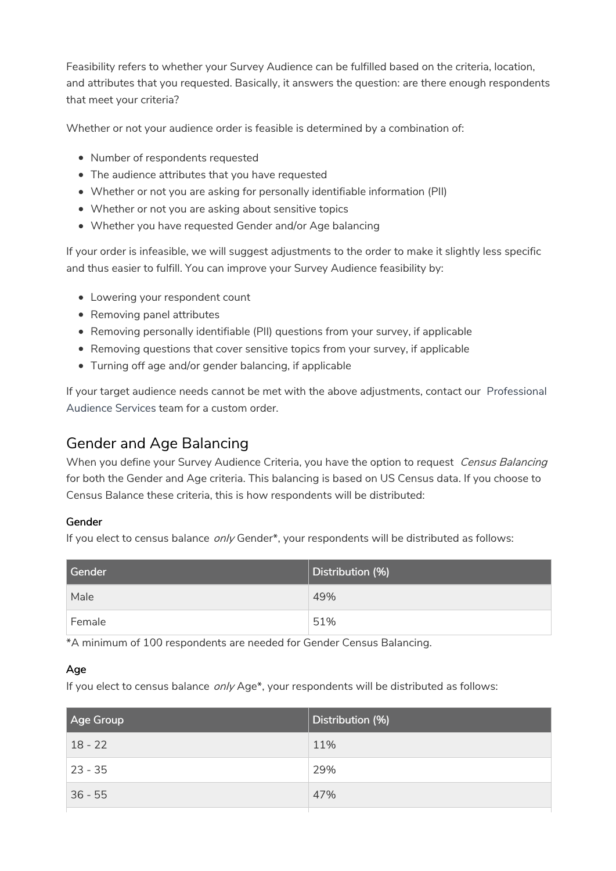Feasibility refers to whether your Survey Audience can be fulfilled based on the criteria, location, and attributes that you requested. Basically, it answers the question: are there enough respondents that meet your criteria?

Whether or not your audience order is feasible is determined by a combination of:

- Number of respondents requested
- The audience attributes that you have requested
- Whether or not you are asking for personally identifiable information (PII)
- Whether or not you are asking about sensitive topics
- Whether you have requested Gender and/or Age balancing

If your order is infeasible, we will suggest adjustments to the order to make it slightly less specific and thus easier to fulfill. You can improve your Survey Audience feasibility by:

- Lowering your respondent count
- Removing panel attributes
- Removing personally identifiable (PII) questions from your survey, if applicable
- Removing questions that cover sensitive topics from your survey, if applicable
- Turning off age and/or gender balancing, if applicable

If your target audience needs cannot be met with the above adjustments, contact our Professional Audience Services team for a custom order.

## Gender and Age Balancing

When you define your Survey Audience Criteria, you have the option to request Census Balancing for both the Gender and Age criteria. This balancing is based on US Census data. If you choose to Census Balance these criteria, this is how respondents will be distributed:

#### Gender

If you elect to census balance only Gender\*, your respondents will be distributed as follows:

| Gender | Distribution (%) |
|--------|------------------|
| Male   | 49%              |
| Female | 51%              |

\*A minimum of 100 respondents are needed for Gender Census Balancing.

#### Age

If you elect to census balance only Age\*, your respondents will be distributed as follows:

| Age Group | Distribution (%) |
|-----------|------------------|
| $18 - 22$ | 11%              |
| $23 - 35$ | 29%              |
| $36 - 55$ | 47%              |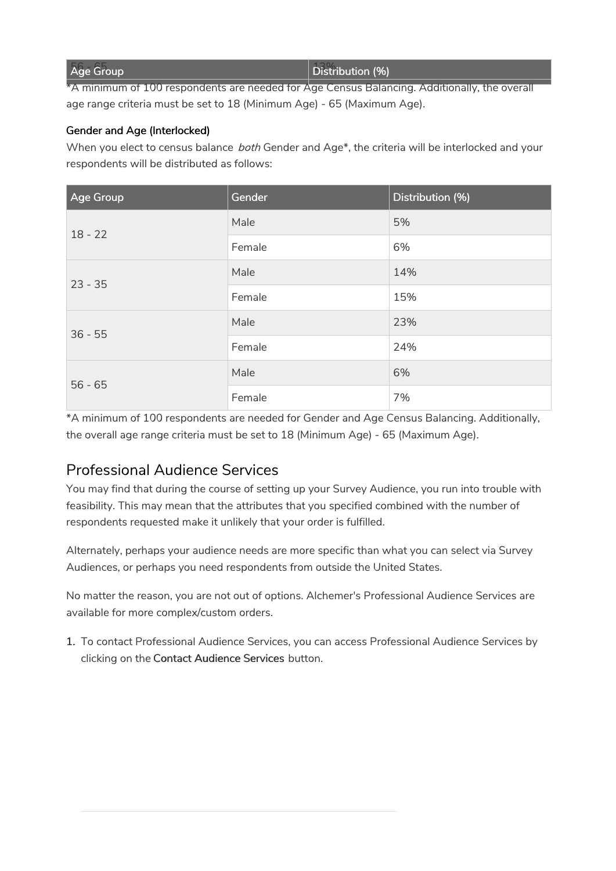| <b>Age Group</b> | $\vert$ Distribution (%) |
|------------------|--------------------------|
|                  |                          |

\*A minimum of 100 respondents are needed for Age Census Balancing. Additionally, the overall age range criteria must be set to 18 (Minimum Age) - 65 (Maximum Age).

#### Gender and Age (Interlocked)

When you elect to census balance *both* Gender and Age\*, the criteria will be interlocked and your respondents will be distributed as follows:

| <b>Age Group</b> | Gender | Distribution (%) |
|------------------|--------|------------------|
| $18 - 22$        | Male   | 5%               |
|                  | Female | 6%               |
| $23 - 35$        | Male   | 14%              |
|                  | Female | 15%              |
| $36 - 55$        | Male   | 23%              |
|                  | Female | 24%              |
| $56 - 65$        | Male   | 6%               |
|                  | Female | 7%               |

\*A minimum of 100 respondents are needed for Gender and Age Census Balancing. Additionally, the overall age range criteria must be set to 18 (Minimum Age) - 65 (Maximum Age).

## Professional Audience Services

You may find that during the course of setting up your Survey Audience, you run into trouble with feasibility. This may mean that the attributes that you specified combined with the number of respondents requested make it unlikely that your order is fulfilled.

Alternately, perhaps your audience needs are more specific than what you can select via Survey Audiences, or perhaps you need respondents from outside the United States.

No matter the reason, you are not out of options. Alchemer's Professional Audience Services are available for more complex/custom orders.

1. To contact Professional Audience Services, you can access Professional Audience Services by clicking on the Contact Audience Services button.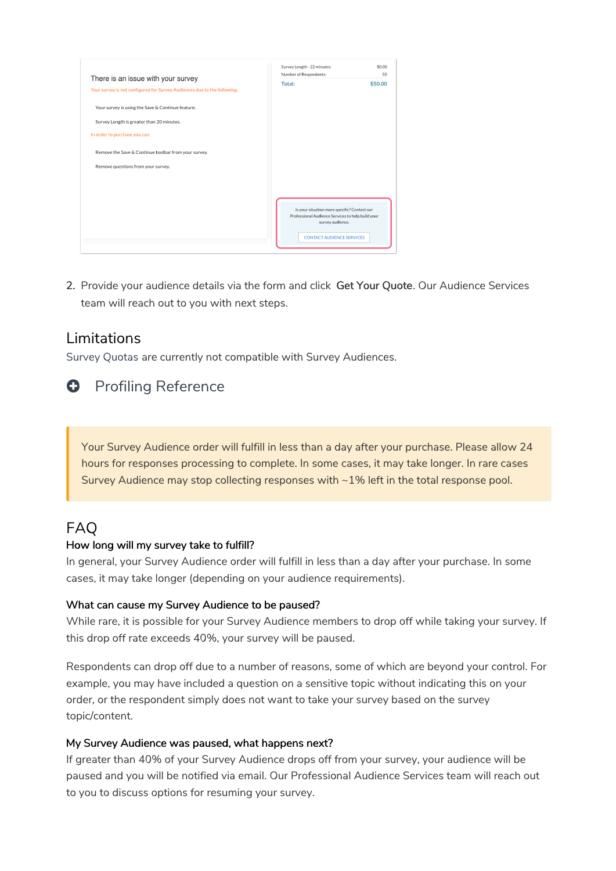|                                                                          | Survey Length - 22 minutes:                                                                                                                               | \$0.00  |
|--------------------------------------------------------------------------|-----------------------------------------------------------------------------------------------------------------------------------------------------------|---------|
| There is an issue with your survey                                       | Number of Respondents:                                                                                                                                    | 50      |
| Your survey is not configured for Survey Audiences due to the following: | Total:                                                                                                                                                    | \$50.00 |
| Your survey is using the Save & Continue feature.                        |                                                                                                                                                           |         |
| Survey Length is greater than 20 minutes.                                |                                                                                                                                                           |         |
| In order to purchase you can:                                            |                                                                                                                                                           |         |
| Remove the Save & Continue toolbar from your survey.                     |                                                                                                                                                           |         |
| Remove questions from your survey.                                       |                                                                                                                                                           |         |
|                                                                          |                                                                                                                                                           |         |
|                                                                          | Is your situation more specific? Contact our<br>Professional Audience Services to help build your<br>survey audience.<br><b>CONTACT AUDIENCE SERVICES</b> |         |

2. Provide your audience details via the form and click Get Your Quote. Our Audience Services team will reach out to you with next steps.

## Limitations

Survey Quotas are currently not compatible with Survey Audiences.

## **O** Profiling Reference

Your Survey Audience order will fulfill in less than a day after your purchase. Please allow 24 hours for responses processing to complete. In some cases, it may take longer. In rare cases Survey Audience may stop collecting responses with ~1% left in the total response pool.

## FAQ

#### How long will my survey take to fulfill?

In general, your Survey Audience order will fulfill in less than a day after your purchase. In some cases, it may take longer (depending on your audience requirements).

#### What can cause my Survey Audience to be paused?

While rare, it is possible for your Survey Audience members to drop off while taking your survey. If this drop off rate exceeds 40%, your survey will be paused.

Respondents can drop off due to a number of reasons, some of which are beyond your control. For example, you may have included a question on a sensitive topic without indicating this on your order, or the respondent simply does not want to take your survey based on the survey topic/content.

#### My Survey Audience was paused, what happens next?

If greater than 40% of your Survey Audience drops off from your survey, your audience will be paused and you will be notified via email. Our Professional Audience Services team will reach out to you to discuss options for resuming your survey.